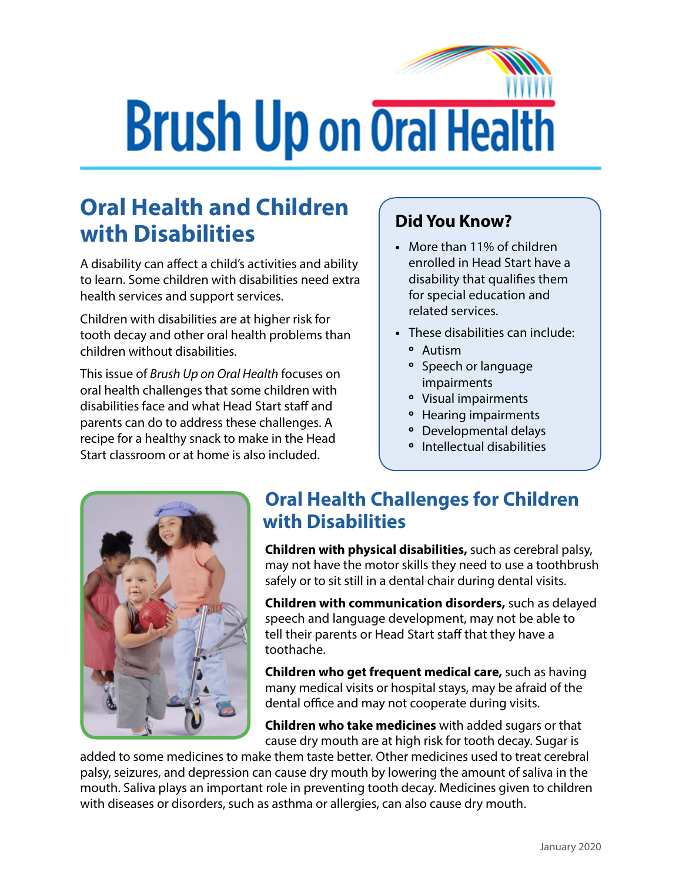# **Brush Up on Oral Health**

## **Oral Health and Children with Disabilities**

A disability can affect a child's activities and ability to learn. Some children with disabilities need extra health services and support services.

Children with disabilities are at higher risk for tooth decay and other oral health problems than children without disabilities.

This issue of *Brush Up on Oral Health* focuses on oral health challenges that some children with disabilities face and what Head Start staff and parents can do to address these challenges. A recipe for a healthy snack to make in the Head Start classroom or at home is also included.

#### **Did You Know?**

- **•** More than 11% of children enrolled in Head Start have a disability that qualifies them for special education and related services.
- **•** These disabilities can include:
	- **º** Autism
	- **º** Speech or language impairments
	- **º** Visual impairments
	- **º** Hearing impairments
	- **º** Developmental delays
	- **º** Intellectual disabilities



### **Oral Health Challenges for Children with Disabilities**

**Children with physical disabilities,** such as cerebral palsy, may not have the motor skills they need to use a toothbrush safely or to sit still in a dental chair during dental visits.

**Children with communication disorders,** such as delayed speech and language development, may not be able to tell their parents or Head Start staff that they have a toothache.

**Children who get frequent medical care,** such as having many medical visits or hospital stays, may be afraid of the dental office and may not cooperate during visits.

**Children who take medicines** with added sugars or that cause dry mouth are at high risk for tooth decay. Sugar is

added to some medicines to make them taste better. Other medicines used to treat cerebral palsy, seizures, and depression can cause dry mouth by lowering the amount of saliva in the mouth. Saliva plays an important role in preventing tooth decay. Medicines given to children with diseases or disorders, such as asthma or allergies, can also cause dry mouth.